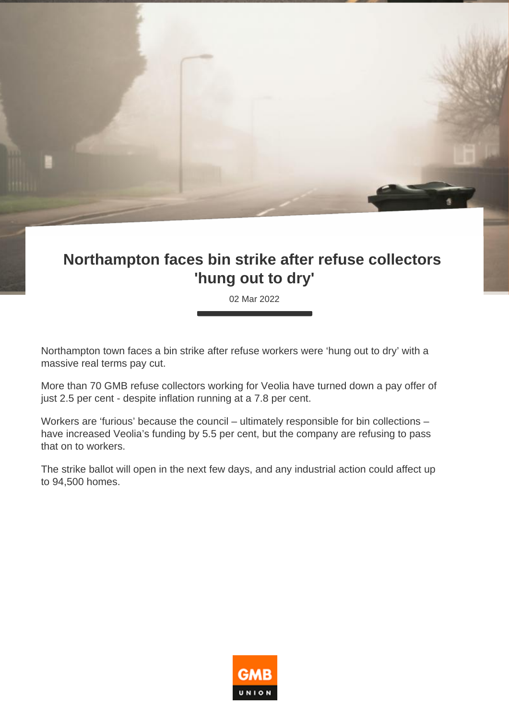## **Northampton faces bin strike after refuse collectors 'hung out to dry'**

02 Mar 2022

Northampton town faces a bin strike after refuse workers were 'hung out to dry' with a massive real terms pay cut.

More than 70 GMB refuse collectors working for Veolia have turned down a pay offer of just 2.5 per cent - despite inflation running at a 7.8 per cent.

Workers are 'furious' because the council – ultimately responsible for bin collections – have increased Veolia's funding by 5.5 per cent, but the company are refusing to pass that on to workers.

The strike ballot will open in the next few days, and any industrial action could affect up to 94,500 homes.